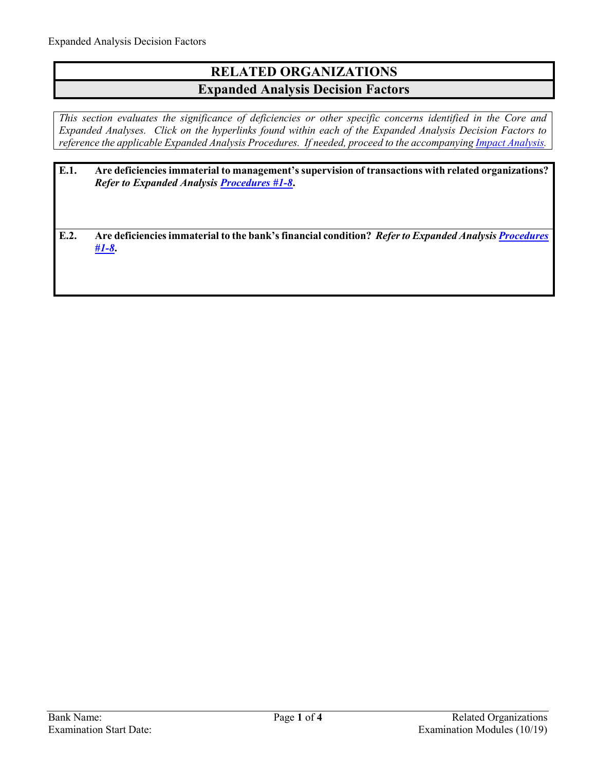## **RELATED ORGANIZATIONS Expanded Analysis Decision Factors**

*This section evaluates the significance of deficiencies or other specific concerns identified in the Core and Expanded Analyses. Click on the hyperlinks found within each of the Expanded Analysis Decision Factors to reference the applicable Expanded Analysis Procedures. If needed, proceed to the accompanyin[g Impact Analysis.](#page-3-0)* 

| E.1. | Are deficiencies immaterial to management's supervision of transactions with related organizations?<br><b>Refer to Expanded Analysis Procedures #1-8.</b> |
|------|-----------------------------------------------------------------------------------------------------------------------------------------------------------|
| E.2. | Are deficiencies immaterial to the bank's financial condition? Refer to Expanded Analysis Procedures<br>$#1 - 8.$                                         |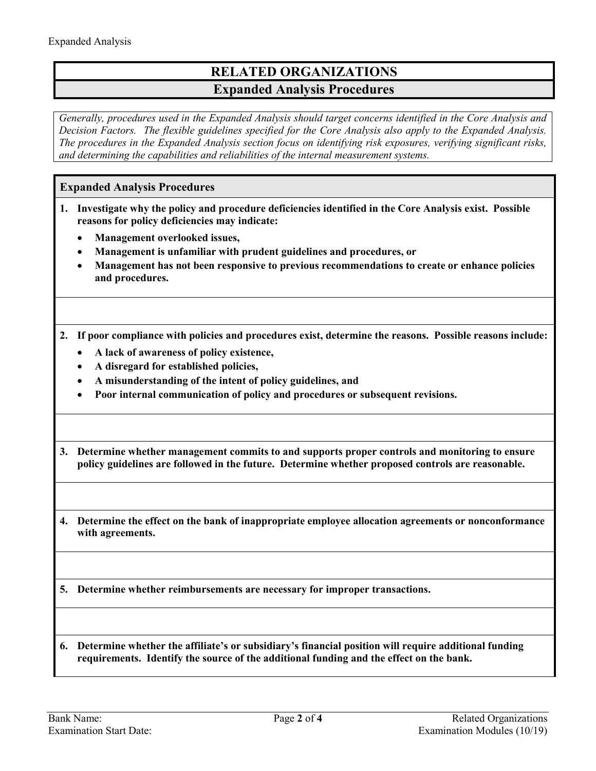## **RELATED ORGANIZATIONS Expanded Analysis Procedures**

*Generally, procedures used in the Expanded Analysis should target concerns identified in the Core Analysis and Decision Factors. The flexible guidelines specified for the Core Analysis also apply to the Expanded Analysis. The procedures in the Expanded Analysis section focus on identifying risk exposures, verifying significant risks, and determining the capabilities and reliabilities of the internal measurement systems.* 

## <span id="page-1-0"></span>**Expanded Analysis Procedures**

- **1. Investigate why the policy and procedure deficiencies identified in the Core Analysis exist. Possible reasons for policy deficiencies may indicate:** 
	- **Management overlooked issues,**
	- **Management is unfamiliar with prudent guidelines and procedures, or**
	- **Management has not been responsive to previous recommendations to create or enhance policies and procedures.**
- **2. If poor compliance with policies and procedures exist, determine the reasons. Possible reasons include:** 
	- **A lack of awareness of policy existence,**
	- **A disregard for established policies,**
	- **A misunderstanding of the intent of policy guidelines, and**
	- **Poor internal communication of policy and procedures or subsequent revisions.**
- **3. Determine whether management commits to and supports proper controls and monitoring to ensure policy guidelines are followed in the future. Determine whether proposed controls are reasonable.**
- **4. Determine the effect on the bank of inappropriate employee allocation agreements or nonconformance with agreements.**

**5. Determine whether reimbursements are necessary for improper transactions.**

**6. Determine whether the affiliate's or subsidiary's financial position will require additional funding requirements. Identify the source of the additional funding and the effect on the bank.**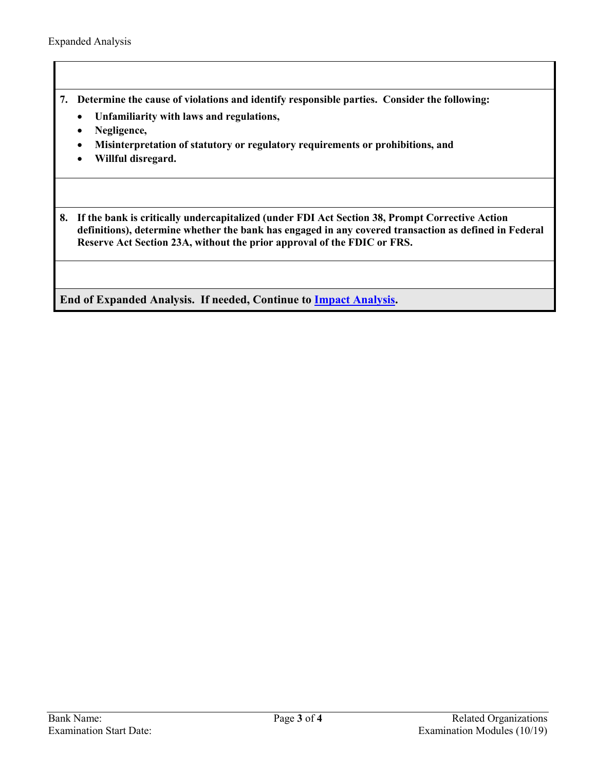- **7. Determine the cause of violations and identify responsible parties. Consider the following:**
	- **Unfamiliarity with laws and regulations,**
	- **Negligence,**
	- **Misinterpretation of statutory or regulatory requirements or prohibitions, and**
	- **Willful disregard.**

**8. If the bank is critically undercapitalized (under FDI Act Section 38, Prompt Corrective Action definitions), determine whether the bank has engaged in any covered transaction as defined in Federal Reserve Act Section 23A, without the prior approval of the FDIC or FRS.**

**End of Expanded Analysis. If needed, Continue to [Impact Analysis.](#page-3-0)**